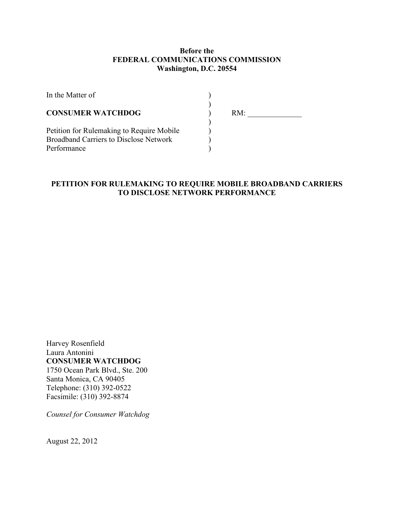#### **Before the FEDERAL COMMUNICATIONS COMMISSION Washington, D.C. 20554**

| In the Matter of                                                                                          |     |
|-----------------------------------------------------------------------------------------------------------|-----|
| <b>CONSUMER WATCHDOG</b>                                                                                  | RM: |
| Petition for Rulemaking to Require Mobile<br><b>Broadband Carriers to Disclose Network</b><br>Performance |     |

# **PETITION FOR RULEMAKING TO REQUIRE MOBILE BROADBAND CARRIERS TO DISCLOSE NETWORK PERFORMANCE**

Harvey Rosenfield Laura Antonini **CONSUMER WATCHDOG** 1750 Ocean Park Blvd., Ste. 200 Santa Monica, CA 90405 Telephone: (310) 392-0522 Facsimile: (310) 392-8874

*Counsel for Consumer Watchdog*

August 22, 2012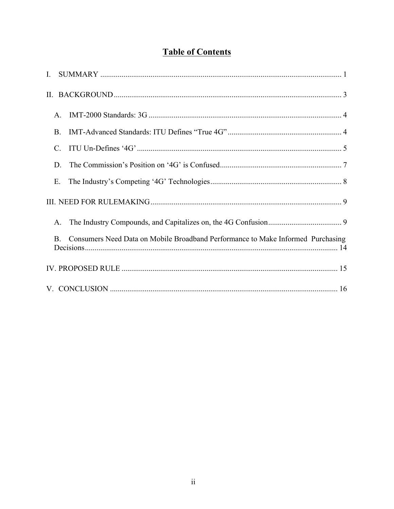# **Table of Contents**

| $\mathsf{A}$ |             |                                                                                 |  |
|--------------|-------------|---------------------------------------------------------------------------------|--|
| <b>B</b> .   |             |                                                                                 |  |
| C.           |             |                                                                                 |  |
| D.           |             |                                                                                 |  |
| Ε.           |             |                                                                                 |  |
|              |             |                                                                                 |  |
|              | $A_{\cdot}$ |                                                                                 |  |
|              | <b>B</b> .  | Consumers Need Data on Mobile Broadband Performance to Make Informed Purchasing |  |
|              |             |                                                                                 |  |
|              |             |                                                                                 |  |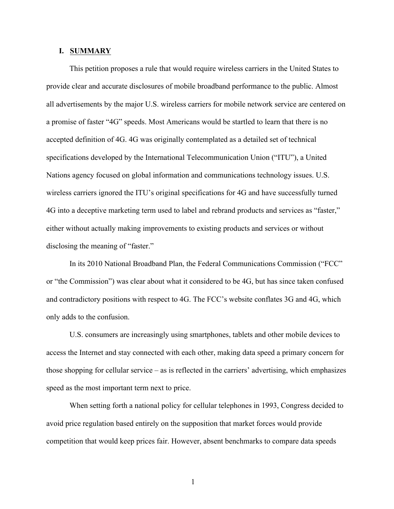#### **I. SUMMARY**

This petition proposes a rule that would require wireless carriers in the United States to provide clear and accurate disclosures of mobile broadband performance to the public. Almost all advertisements by the major U.S. wireless carriers for mobile network service are centered on a promise of faster "4G" speeds. Most Americans would be startled to learn that there is no accepted definition of 4G. 4G was originally contemplated as a detailed set of technical specifications developed by the International Telecommunication Union ("ITU"), a United Nations agency focused on global information and communications technology issues. U.S. wireless carriers ignored the ITU's original specifications for 4G and have successfully turned 4G into a deceptive marketing term used to label and rebrand products and services as "faster," either without actually making improvements to existing products and services or without disclosing the meaning of "faster."

In its 2010 National Broadband Plan, the Federal Communications Commission ("FCC" or "the Commission") was clear about what it considered to be 4G, but has since taken confused and contradictory positions with respect to 4G. The FCC's website conflates 3G and 4G, which only adds to the confusion.

U.S. consumers are increasingly using smartphones, tablets and other mobile devices to access the Internet and stay connected with each other, making data speed a primary concern for those shopping for cellular service – as is reflected in the carriers' advertising, which emphasizes speed as the most important term next to price.

When setting forth a national policy for cellular telephones in 1993, Congress decided to avoid price regulation based entirely on the supposition that market forces would provide competition that would keep prices fair. However, absent benchmarks to compare data speeds

1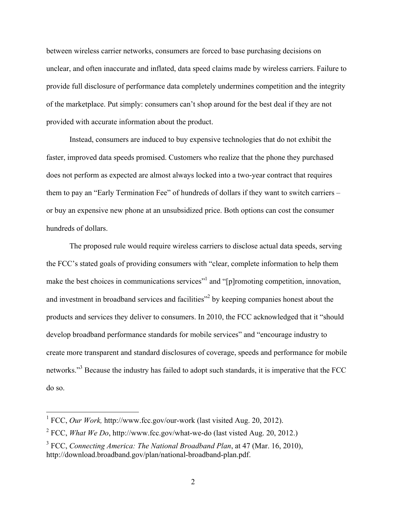between wireless carrier networks, consumers are forced to base purchasing decisions on unclear, and often inaccurate and inflated, data speed claims made by wireless carriers. Failure to provide full disclosure of performance data completely undermines competition and the integrity of the marketplace. Put simply: consumers can't shop around for the best deal if they are not provided with accurate information about the product.

Instead, consumers are induced to buy expensive technologies that do not exhibit the faster, improved data speeds promised. Customers who realize that the phone they purchased does not perform as expected are almost always locked into a two-year contract that requires them to pay an "Early Termination Fee" of hundreds of dollars if they want to switch carriers – or buy an expensive new phone at an unsubsidized price. Both options can cost the consumer hundreds of dollars.

The proposed rule would require wireless carriers to disclose actual data speeds, serving the FCC's stated goals of providing consumers with "clear, complete information to help them make the best choices in communications services<sup>"1</sup> and "[p]romoting competition, innovation, and investment in broadband services and facilities<sup>"2</sup> by keeping companies honest about the products and services they deliver to consumers. In 2010, the FCC acknowledged that it "should develop broadband performance standards for mobile services" and "encourage industry to create more transparent and standard disclosures of coverage, speeds and performance for mobile networks."3 Because the industry has failed to adopt such standards, it is imperative that the FCC do so.

<sup>&</sup>lt;sup>1</sup> FCC, *Our Work*, http://www.fcc.gov/our-work (last visited Aug. 20, 2012).

<sup>2</sup> FCC, *What We Do*, http://www.fcc.gov/what-we-do (last visted Aug. 20, 2012.)

<sup>3</sup> FCC, *Connecting America: The National Broadband Plan*, at 47 (Mar. 16, 2010), http://download.broadband.gov/plan/national-broadband-plan.pdf.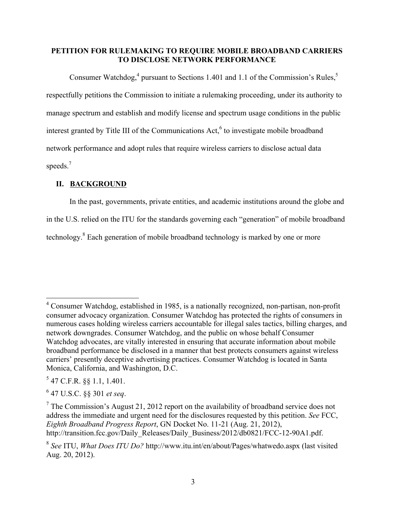#### **PETITION FOR RULEMAKING TO REQUIRE MOBILE BROADBAND CARRIERS TO DISCLOSE NETWORK PERFORMANCE**

Consumer Watchdog,<sup>4</sup> pursuant to Sections 1.401 and 1.1 of the Commission's Rules,<sup>5</sup> respectfully petitions the Commission to initiate a rulemaking proceeding, under its authority to manage spectrum and establish and modify license and spectrum usage conditions in the public interest granted by Title III of the Communications  $Act<sub>o</sub><sup>6</sup>$  to investigate mobile broadband network performance and adopt rules that require wireless carriers to disclose actual data speeds.<sup>7</sup>

# **II. BACKGROUND**

In the past, governments, private entities, and academic institutions around the globe and

in the U.S. relied on the ITU for the standards governing each "generation" of mobile broadband

technology.<sup>8</sup> Each generation of mobile broadband technology is marked by one or more

 <sup>4</sup> Consumer Watchdog, established in 1985, is a nationally recognized, non-partisan, non-profit consumer advocacy organization. Consumer Watchdog has protected the rights of consumers in numerous cases holding wireless carriers accountable for illegal sales tactics, billing charges, and network downgrades. Consumer Watchdog, and the public on whose behalf Consumer Watchdog advocates, are vitally interested in ensuring that accurate information about mobile broadband performance be disclosed in a manner that best protects consumers against wireless carriers' presently deceptive advertising practices. Consumer Watchdog is located in Santa Monica, California, and Washington, D.C.

<sup>5</sup> 47 C.F.R. §§ 1.1, 1.401.

<sup>6</sup> 47 U.S.C. §§ 301 *et seq*.

 $<sup>7</sup>$  The Commission's August 21, 2012 report on the availability of broadband service does not</sup> address the immediate and urgent need for the disclosures requested by this petition. *See* FCC, *Eighth Broadband Progress Report*, GN Docket No. 11-21 (Aug. 21, 2012), http://transition.fcc.gov/Daily\_Releases/Daily\_Business/2012/db0821/FCC-12-90A1.pdf.

<sup>8</sup> *See* ITU, *What Does ITU Do?* http://www.itu.int/en/about/Pages/whatwedo.aspx (last visited Aug. 20, 2012).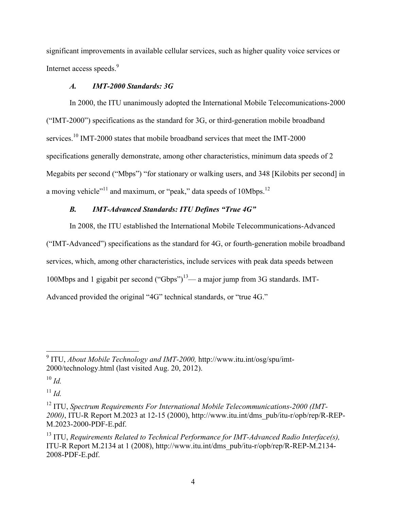significant improvements in available cellular services, such as higher quality voice services or Internet access speeds.<sup>9</sup>

# *A. IMT-2000 Standards: 3G*

In 2000, the ITU unanimously adopted the International Mobile Telecomunications-2000 ("IMT-2000") specifications as the standard for 3G, or third-generation mobile broadband services.<sup>10</sup> IMT-2000 states that mobile broadband services that meet the IMT-2000 specifications generally demonstrate, among other characteristics, minimum data speeds of 2 Megabits per second ("Mbps") "for stationary or walking users, and 348 [Kilobits per second] in a moving vehicle $v<sup>11</sup>$  and maximum, or "peak," data speeds of 10Mbps.<sup>12</sup>

# *B. IMT-Advanced Standards: ITU Defines "True 4G"*

In 2008, the ITU established the International Mobile Telecommunications-Advanced

("IMT-Advanced") specifications as the standard for 4G, or fourth-generation mobile broadband services, which, among other characteristics, include services with peak data speeds between 100Mbps and 1 gigabit per second  $("Gbps")^{13}$ — a major jump from 3G standards. IMT-

Advanced provided the original "4G" technical standards, or "true 4G."

 $11$  *Id.* 

 <sup>9</sup> ITU, *About Mobile Technology and IMT-2000,* http://www.itu.int/osg/spu/imt-2000/technology.html (last visited Aug. 20, 2012).

<sup>10</sup> *Id.*

<sup>&</sup>lt;sup>12</sup> ITU, Spectrum Requirements For International Mobile Telecommunications-2000 (IMT-*2000)*, ITU-R Report M.2023 at 12-15 (2000), http://www.itu.int/dms\_pub/itu-r/opb/rep/R-REP-M.2023-2000-PDF-E.pdf.

<sup>&</sup>lt;sup>13</sup> ITU, *Requirements Related to Technical Performance for IMT-Advanced Radio Interface(s)*, ITU-R Report M.2134 at 1 (2008), http://www.itu.int/dms\_pub/itu-r/opb/rep/R-REP-M.2134- 2008-PDF-E.pdf.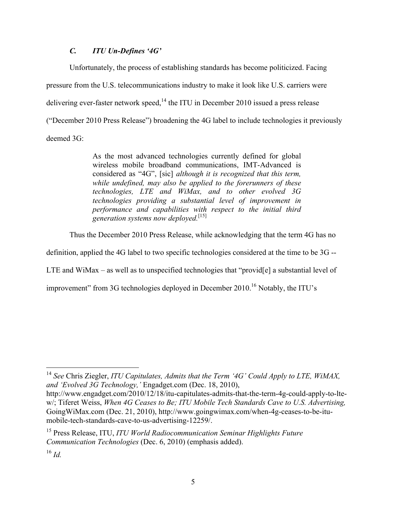# *C. ITU Un-Defines '4G'*

Unfortunately, the process of establishing standards has become politicized. Facing pressure from the U.S. telecommunications industry to make it look like U.S. carriers were delivering ever-faster network speed, $^{14}$  the ITU in December 2010 issued a press release ("December 2010 Press Release") broadening the 4G label to include technologies it previously deemed 3G:

> As the most advanced technologies currently defined for global wireless mobile broadband communications, IMT-Advanced is considered as "4G", [sic] *although it is recognized that this term, while undefined, may also be applied to the forerunners of these technologies, LTE and WiMax, and to other evolved 3G technologies providing a substantial level of improvement in performance and capabilities with respect to the initial third generation systems now deployed.*[15]

Thus the December 2010 Press Release, while acknowledging that the term 4G has no

definition, applied the 4G label to two specific technologies considered at the time to be 3G --

LTE and WiMax – as well as to unspecified technologies that "provid[e] a substantial level of

improvement" from 3G technologies deployed in December 2010.<sup>16</sup> Notably, the ITU's

<sup>15</sup> Press Release, ITU, *ITU World Radiocommunication Seminar Highlights Future Communication Technologies* (Dec. 6, 2010) (emphasis added).

<sup>&</sup>lt;sup>14</sup> See Chris Ziegler, *ITU Capitulates, Admits that the Term '4G' Could Apply to LTE, WiMAX, and 'Evolved 3G Technology,'* Engadget.com (Dec. 18, 2010),

http://www.engadget.com/2010/12/18/itu-capitulates-admits-that-the-term-4g-could-apply-to-ltew/; Tiferet Weiss, *When 4G Ceases to Be; ITU Mobile Tech Standards Cave to U.S. Advertising,*  GoingWiMax.com (Dec. 21, 2010), http://www.goingwimax.com/when-4g-ceases-to-be-itumobile-tech-standards-cave-to-us-advertising-12259/.

<sup>16</sup> *Id.*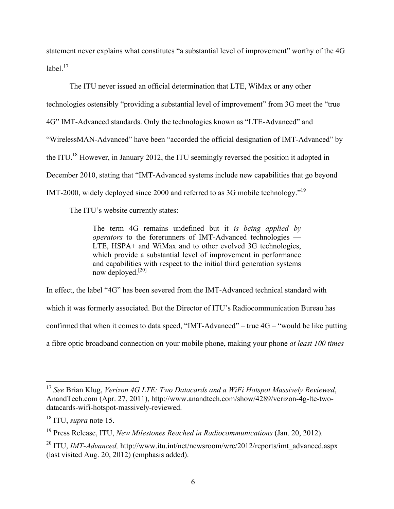statement never explains what constitutes "a substantial level of improvement" worthy of the 4G label $17$ 

The ITU never issued an official determination that LTE, WiMax or any other technologies ostensibly "providing a substantial level of improvement" from 3G meet the "true 4G" IMT-Advanced standards. Only the technologies known as "LTE-Advanced" and "WirelessMAN-Advanced" have been "accorded the official designation of IMT-Advanced" by the ITU.18 However, in January 2012, the ITU seemingly reversed the position it adopted in December 2010, stating that "IMT-Advanced systems include new capabilities that go beyond IMT-2000, widely deployed since 2000 and referred to as 3G mobile technology."<sup>19</sup>

The ITU's website currently states:

The term 4G remains undefined but it *is being applied by operators* to the forerunners of IMT-Advanced technologies — LTE, HSPA+ and WiMax and to other evolved 3G technologies, which provide a substantial level of improvement in performance and capabilities with respect to the initial third generation systems now deployed.<sup>[20]</sup>

In effect, the label "4G" has been severed from the IMT-Advanced technical standard with which it was formerly associated. But the Director of ITU's Radiocommunication Bureau has confirmed that when it comes to data speed, "IMT-Advanced" – true 4G – "would be like putting a fibre optic broadband connection on your mobile phone, making your phone *at least 100 times* 

 <sup>17</sup> *See* Brian Klug, *Verizon 4G LTE: Two Datacards and a WiFi Hotspot Massively Reviewed*, AnandTech.com (Apr. 27, 2011), http://www.anandtech.com/show/4289/verizon-4g-lte-twodatacards-wifi-hotspot-massively-reviewed.

<sup>18</sup> ITU, *supra* note 15.

<sup>&</sup>lt;sup>19</sup> Press Release, ITU, *New Milestones Reached in Radiocommunications* (Jan. 20, 2012).

<sup>&</sup>lt;sup>20</sup> ITU, *IMT-Advanced*, http://www.itu.int/net/newsroom/wrc/2012/reports/imt\_advanced.aspx (last visited Aug. 20, 2012) (emphasis added).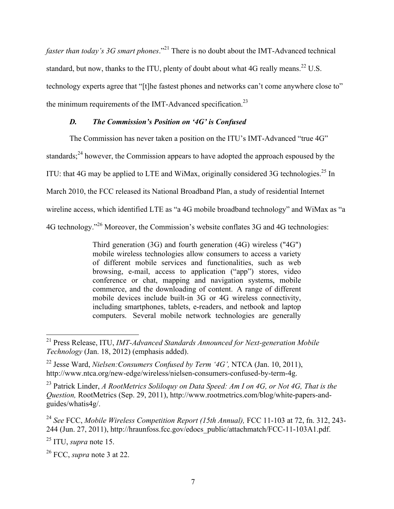*faster than today's 3G smart phones*." <sup>21</sup> There is no doubt about the IMT-Advanced technical standard, but now, thanks to the ITU, plenty of doubt about what 4G really means.<sup>22</sup> U.S. technology experts agree that "[t]he fastest phones and networks can't come anywhere close to" the minimum requirements of the IMT-Advanced specification.<sup>23</sup>

# *D. The Commission's Position on '4G' is Confused*

The Commission has never taken a position on the ITU's IMT-Advanced "true 4G"

standards; $^{24}$  however, the Commission appears to have adopted the approach espoused by the

ITU: that 4G may be applied to LTE and WiMax, originally considered 3G technologies.<sup>25</sup> In

March 2010, the FCC released its National Broadband Plan, a study of residential Internet

wireline access, which identified LTE as "a 4G mobile broadband technology" and WiMax as "a

4G technology."26 Moreover, the Commission's website conflates 3G and 4G technologies:

Third generation (3G) and fourth generation (4G) wireless ("4G") mobile wireless technologies allow consumers to access a variety of different mobile services and functionalities, such as web browsing, e-mail, access to application ("app") stores, video conference or chat, mapping and navigation systems, mobile commerce, and the downloading of content. A range of different mobile devices include built-in 3G or 4G wireless connectivity, including smartphones, tablets, e-readers, and netbook and laptop computers. Several mobile network technologies are generally

<sup>25</sup> ITU, *supra* note 15.

 <sup>21</sup> Press Release, ITU, *IMT-Advanced Standards Announced for Next-generation Mobile Technology* (Jan. 18, 2012) (emphasis added).

<sup>22</sup> Jesse Ward, *Nielsen:Consumers Confused by Term '4G',* NTCA (Jan. 10, 2011), http://www.ntca.org/new-edge/wireless/nielsen-consumers-confused-by-term-4g.

<sup>23</sup> Patrick Linder, *A RootMetrics Soliloquy on Data Speed: Am I on 4G, or Not 4G, That is the Question,* RootMetrics (Sep. 29, 2011), http://www.rootmetrics.com/blog/white-papers-andguides/whatis4g/.

<sup>24</sup> *See* FCC, *Mobile Wireless Competition Report (15th Annual),* FCC 11-103 at 72, fn. 312, 243- 244 (Jun. 27, 2011), http://hraunfoss.fcc.gov/edocs\_public/attachmatch/FCC-11-103A1.pdf.

<sup>26</sup> FCC, *supra* note 3 at 22.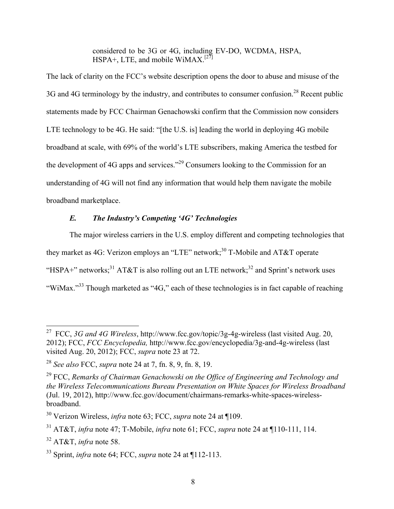considered to be 3G or 4G, including EV-DO, WCDMA, HSPA,  $HSPA+$ , LTE, and mobile WiMAX.<sup>[27]</sup>

The lack of clarity on the FCC's website description opens the door to abuse and misuse of the 3G and 4G terminology by the industry, and contributes to consumer confusion.<sup>28</sup> Recent public statements made by FCC Chairman Genachowski confirm that the Commission now considers LTE technology to be 4G. He said: "[the U.S. is] leading the world in deploying 4G mobile broadband at scale, with 69% of the world's LTE subscribers, making America the testbed for the development of 4G apps and services."<sup>29</sup> Consumers looking to the Commission for an understanding of 4G will not find any information that would help them navigate the mobile broadband marketplace.

# *E. The Industry's Competing '4G' Technologies*

The major wireless carriers in the U.S. employ different and competing technologies that they market as 4G: Verizon employs an "LTE" network;<sup>30</sup> T-Mobile and AT&T operate "HSPA+" networks;<sup>31</sup> AT&T is also rolling out an LTE network;<sup>32</sup> and Sprint's network uses "WiMax."<sup>33</sup> Though marketed as "4G," each of these technologies is in fact capable of reaching

 <sup>27</sup> FCC, *3G and 4G Wireless*, http://www.fcc.gov/topic/3g-4g-wireless (last visited Aug. 20, 2012); FCC, *FCC Encyclopedia,* http://www.fcc.gov/encyclopedia/3g-and-4g-wireless (last visited Aug. 20, 2012); FCC, *supra* note 23 at 72.

<sup>28</sup> *See also* FCC, *supra* note 24 at 7, fn. 8, 9, fn. 8, 19.

<sup>29</sup> FCC, *Remarks of Chairman Genachowski on the Office of Engineering and Technology and the Wireless Telecommunications Bureau Presentation on White Spaces for Wireless Broadband* (Jul. 19, 2012), http://www.fcc.gov/document/chairmans-remarks-white-spaces-wirelessbroadband.

<sup>30</sup> Verizon Wireless, *infra* note 63; FCC, *supra* note 24 at ¶109.

<sup>31</sup> AT&T, *infra* note 47; T-Mobile, *infra* note 61; FCC, *supra* note 24 at ¶110-111, 114.

<sup>32</sup> AT&T, *infra* note 58.

<sup>33</sup> Sprint, *infra* note 64; FCC, *supra* note 24 at ¶112-113.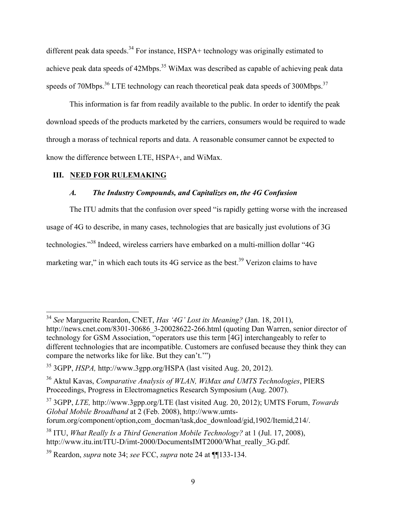different peak data speeds.<sup>34</sup> For instance, HSPA+ technology was originally estimated to achieve peak data speeds of 42Mbps.<sup>35</sup> WiMax was described as capable of achieving peak data speeds of 70Mbps.<sup>36</sup> LTE technology can reach theoretical peak data speeds of 300Mbps.<sup>37</sup>

This information is far from readily available to the public. In order to identify the peak download speeds of the products marketed by the carriers, consumers would be required to wade through a morass of technical reports and data. A reasonable consumer cannot be expected to know the difference between LTE, HSPA+, and WiMax.

# **III. NEED FOR RULEMAKING**

# *A. The Industry Compounds, and Capitalizes on, the 4G Confusion*

The ITU admits that the confusion over speed "is rapidly getting worse with the increased usage of 4G to describe, in many cases, technologies that are basically just evolutions of 3G technologies."38 Indeed, wireless carriers have embarked on a multi-million dollar "4G marketing war," in which each touts its  $4G$  service as the best.<sup>39</sup> Verizon claims to have

 <sup>34</sup> *See* Marguerite Reardon, CNET, *Has '4G' Lost its Meaning?* (Jan. 18, 2011), http://news.cnet.com/8301-30686\_3-20028622-266.html (quoting Dan Warren, senior director of technology for GSM Association, "operators use this term [4G] interchangeably to refer to different technologies that are incompatible. Customers are confused because they think they can compare the networks like for like. But they can't.'")

<sup>35</sup> 3GPP, *HSPA,* http://www.3gpp.org/HSPA (last visited Aug. 20, 2012).

<sup>36</sup> Aktul Kavas, *Comparative Analysis of WLAN, WiMax and UMTS Technologies*, PIERS Proceedings, Progress in Electromagnetics Research Symposium (Aug. 2007).

<sup>37</sup> 3GPP, *LTE,* http://www.3gpp.org/LTE (last visited Aug. 20, 2012); UMTS Forum, *Towards Global Mobile Broadband* at 2 (Feb. 2008), http://www.umtsforum.org/component/option,com\_docman/task,doc\_download/gid,1902/Itemid,214/.

<sup>38</sup> ITU, *What Really Is a Third Generation Mobile Technology?* at 1 (Jul. 17, 2008), http://www.itu.int/ITU-D/imt-2000/DocumentsIMT2000/What\_really\_3G.pdf.

<sup>39</sup> Reardon, *supra* note 34; *see* FCC, *supra* note 24 at ¶¶133-134.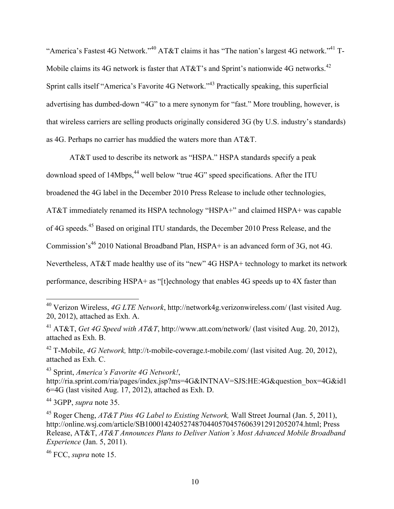"America's Fastest 4G Network."<sup>40</sup> AT&T claims it has "The nation's largest 4G network."<sup>41</sup> T-Mobile claims its 4G network is faster that AT&T's and Sprint's nationwide 4G networks.<sup>42</sup> Sprint calls itself "America's Favorite 4G Network."<sup>43</sup> Practically speaking, this superficial advertising has dumbed-down "4G" to a mere synonym for "fast." More troubling, however, is that wireless carriers are selling products originally considered 3G (by U.S. industry's standards) as 4G. Perhaps no carrier has muddied the waters more than AT&T.

AT&T used to describe its network as "HSPA." HSPA standards specify a peak download speed of  $14Mbps<sub>1</sub><sup>44</sup>$  well below "true  $4G$ " speed specifications. After the ITU broadened the 4G label in the December 2010 Press Release to include other technologies, AT&T immediately renamed its HSPA technology "HSPA+" and claimed HSPA+ was capable of 4G speeds.<sup>45</sup> Based on original ITU standards, the December 2010 Press Release, and the Commission's<sup>46</sup> 2010 National Broadband Plan, HSPA+ is an advanced form of 3G, not 4G. Nevertheless, AT&T made healthy use of its "new" 4G HSPA+ technology to market its network performance, describing HSPA+ as "[t]echnology that enables 4G speeds up to 4X faster than

<sup>43</sup> Sprint, *America's Favorite 4G Network!*,

<sup>44</sup> 3GPP, *supra* note 35.

 <sup>40</sup> Verizon Wireless, *4G LTE Network*, http://network4g.verizonwireless.com/ (last visited Aug. 20, 2012), attached as Exh. A.

<sup>41</sup> AT&T, *Get 4G Speed with AT&T*, http://www.att.com/network/ (last visited Aug. 20, 2012), attached as Exh. B.

<sup>42</sup> T-Mobile, *4G Network,* http://t-mobile-coverage.t-mobile.com/ (last visited Aug. 20, 2012), attached as Exh. C.

http://ria.sprint.com/ria/pages/index.jsp?ms=4G&INTNAV=SJS:HE:4G&question\_box=4G&id1 6=4G (last visited Aug. 17, 2012), attached as Exh. D.

<sup>45</sup> Roger Cheng, *AT&T Pins 4G Label to Existing Network,* Wall Street Journal (Jan. 5, 2011), http://online.wsj.com/article/SB10001424052748704405704576063912912052074.html; Press Release, AT&T, *AT&T Announces Plans to Deliver Nation's Most Advanced Mobile Broadband Experience* (Jan. 5, 2011).

<sup>46</sup> FCC, *supra* note 15.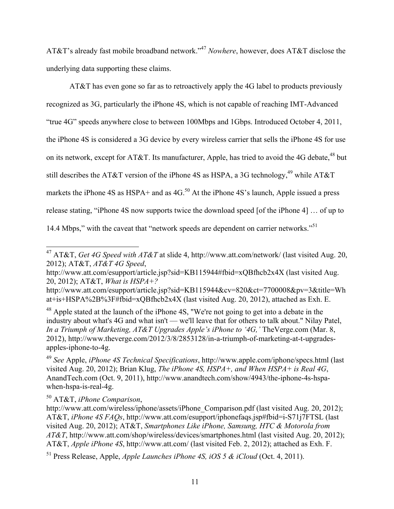AT&T's already fast mobile broadband network." <sup>47</sup> *Nowhere*, however, does AT&T disclose the underlying data supporting these claims.

AT&T has even gone so far as to retroactively apply the 4G label to products previously recognized as 3G, particularly the iPhone 4S, which is not capable of reaching IMT-Advanced "true 4G" speeds anywhere close to between 100Mbps and 1Gbps. Introduced October 4, 2011, the iPhone 4S is considered a 3G device by every wireless carrier that sells the iPhone 4S for use on its network, except for AT&T. Its manufacturer, Apple, has tried to avoid the 4G debate,  $48$  but still describes the AT&T version of the iPhone 4S as HSPA, a 3G technology,<sup>49</sup> while AT&T markets the iPhone 4S as  $HSPA+$  and as  $4G<sup>50</sup>$ . At the iPhone 4S's launch, Apple issued a press release stating, "iPhone 4S now supports twice the download speed [of the iPhone 4] … of up to 14.4 Mbps," with the caveat that "network speeds are dependent on carrier networks."<sup>51</sup>

<sup>48</sup> Apple stated at the launch of the iPhone 4S, "We're not going to get into a debate in the industry about what's 4G and what isn't — we'll leave that for others to talk about." Nilay Patel, *In a Triumph of Marketing, AT&T Upgrades Apple's iPhone to '4G,'* TheVerge.com (Mar. 8, 2012), http://www.theverge.com/2012/3/8/2853128/in-a-triumph-of-marketing-at-t-upgradesapples-iphone-to-4g.

<sup>49</sup> *See* Apple, *iPhone 4S Technical Specifications*, http://www.apple.com/iphone/specs.html (last visited Aug. 20, 2012); Brian Klug, *The iPhone 4S, HSPA+, and When HSPA+ is Real 4G*, AnandTech.com (Oct. 9, 2011), http://www.anandtech.com/show/4943/the-iphone-4s-hspawhen-hspa-is-real-4g.

 <sup>47</sup> AT&T, *Get 4G Speed with AT&T* at slide 4, http://www.att.com/network/ (last visited Aug. 20, 2012); AT&T, *AT&T 4G Speed*,

http://www.att.com/esupport/article.jsp?sid=KB115944#fbid=xQBfhcb2x4X (last visited Aug. 20, 2012); AT&T, *What is HSPA+?*

http://www.att.com/esupport/article.jsp?sid=KB115944&cv=820&ct=7700008&pv=3&title=Wh at+is+HSPA%2B%3F#fbid=xQBfhcb2x4X (last visited Aug. 20, 2012), attached as Exh. E.

<sup>50</sup> AT&T, *iPhone Comparison*,

http://www.att.com/wireless/iphone/assets/iPhone\_Comparison.pdf (last visited Aug. 20, 2012); AT&T, *iPhone 4S FAQs*, http://www.att.com/esupport/iphonefaqs.jsp#fbid=i-S71j7FTSL (last visited Aug. 20, 2012); AT&T, *Smartphones Like iPhone, Samsung, HTC & Motorola from AT&T*, http://www.att.com/shop/wireless/devices/smartphones.html (last visited Aug. 20, 2012); AT&T, *Apple iPhone 4S*, http://www.att.com/ (last visited Feb. 2, 2012); attached as Exh. F.

<sup>51</sup> Press Release, Apple, *Apple Launches iPhone 4S, iOS 5 & iCloud* (Oct. 4, 2011).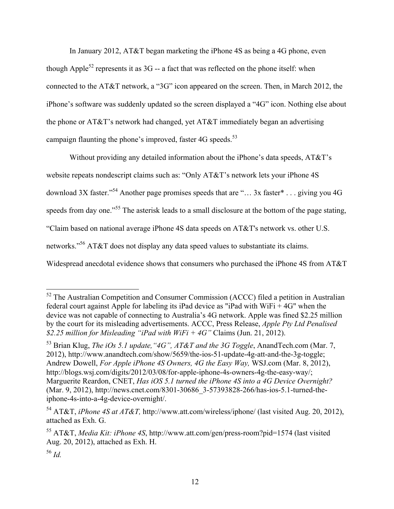In January 2012, AT&T began marketing the iPhone 4S as being a 4G phone, even though Apple<sup>52</sup> represents it as  $3G - a$  fact that was reflected on the phone itself: when connected to the AT&T network, a "3G" icon appeared on the screen. Then, in March 2012, the iPhone's software was suddenly updated so the screen displayed a "4G" icon. Nothing else about the phone or AT&T's network had changed, yet AT&T immediately began an advertising campaign flaunting the phone's improved, faster  $4G$  speeds.<sup>53</sup>

Without providing any detailed information about the iPhone's data speeds, AT&T's website repeats nondescript claims such as: "Only AT&T's network lets your iPhone 4S download 3X faster."54 Another page promises speeds that are "… 3x faster\* . . . giving you 4G speeds from day one."<sup>55</sup> The asterisk leads to a small disclosure at the bottom of the page stating, "Claim based on national average iPhone 4S data speeds on AT&T's network vs. other U.S. networks."56 AT&T does not display any data speed values to substantiate its claims. Widespread anecdotal evidence shows that consumers who purchased the iPhone 4S from AT&T

<sup>&</sup>lt;sup>52</sup> The Australian Competition and Consumer Commission (ACCC) filed a petition in Australian federal court against Apple for labeling its iPad device as "iPad with WiFi + 4G" when the device was not capable of connecting to Australia's 4G network. Apple was fined \$2.25 million by the court for its misleading advertisements. ACCC, Press Release, *Apple Pty Ltd Penalised \$2.25 million for Misleading "iPad with WiFi + 4G"* Claims (Jun. 21, 2012).

<sup>53</sup> Brian Klug, *The iOs 5.1 update,"4G", AT&T and the 3G Toggle*, AnandTech.com (Mar. 7, 2012), http://www.anandtech.com/show/5659/the-ios-51-update-4g-att-and-the-3g-toggle; Andrew Dowell, *For Apple iPhone 4S Owners, 4G the Easy Way,* WSJ.com (Mar. 8, 2012), http://blogs.wsj.com/digits/2012/03/08/for-apple-iphone-4s-owners-4g-the-easy-way/; Marguerite Reardon, CNET, *Has iOS 5.1 turned the iPhone 4S into a 4G Device Overnight?* (Mar. 9, 2012), http://news.cnet.com/8301-30686\_3-57393828-266/has-ios-5.1-turned-theiphone-4s-into-a-4g-device-overnight/.

<sup>54</sup> AT&T, *iPhone 4S at AT&T,* http://www.att.com/wireless/iphone/ (last visited Aug. 20, 2012), attached as Exh. G.

<sup>55</sup> AT&T, *Media Kit: iPhone 4S*, http://www.att.com/gen/press-room?pid=1574 (last visited Aug. 20, 2012), attached as Exh. H.

<sup>56</sup> *Id.*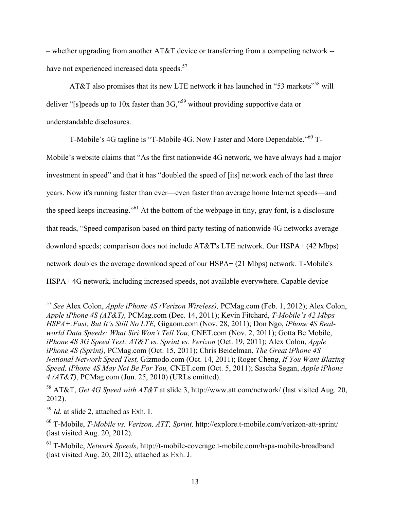– whether upgrading from another AT&T device or transferring from a competing network - have not experienced increased data speeds.<sup>57</sup>

AT&T also promises that its new LTE network it has launched in "53 markets"<sup>58</sup> will deliver "[s]peeds up to 10x faster than 3G,"<sup>59</sup> without providing supportive data or understandable disclosures.

T-Mobile's 4G tagline is "T-Mobile 4G. Now Faster and More Dependable."<sup>60</sup> T-

Mobile's website claims that "As the first nationwide 4G network, we have always had a major investment in speed" and that it has "doubled the speed of [its] network each of the last three years. Now it's running faster than ever—even faster than average home Internet speeds—and the speed keeps increasing."<sup>61</sup> At the bottom of the webpage in tiny, gray font, is a disclosure that reads, "Speed comparison based on third party testing of nationwide 4G networks average download speeds; comparison does not include AT&T's LTE network. Our HSPA+ (42 Mbps) network doubles the average download speed of our HSPA+ (21 Mbps) network. T-Mobile's HSPA+ 4G network, including increased speeds, not available everywhere. Capable device

 <sup>57</sup> *See* Alex Colon, *Apple iPhone 4S (Verizon Wireless),* PCMag.com (Feb. 1, 2012); Alex Colon, *Apple iPhone 4S (AT&T),* PCMag.com (Dec. 14, 2011); Kevin Fitchard, *T-Mobile's 42 Mbps HSPA+:Fast, But It's Still No LTE,* Gigaom.com (Nov. 28, 2011); Don Ngo, *iPhone 4S Realworld Data Speeds: What Siri Won't Tell You,* CNET.com (Nov. 2, 2011); Gotta Be Mobile, *iPhone 4S 3G Speed Test: AT&T vs. Sprint vs. Verizon* (Oct. 19, 2011); Alex Colon, *Apple iPhone 4S (Sprint),* PCMag.com (Oct. 15, 2011); Chris Beidelman, *The Great iPhone 4S National Network Speed Test,* Gizmodo.com (Oct. 14, 2011); Roger Cheng, *If You Want Blazing Speed, iPhone 4S May Not Be For You,* CNET.com (Oct. 5, 2011); Sascha Segan, *Apple iPhone 4 (AT&T)*, PCMag.com (Jun. 25, 2010) (URLs omitted).

<sup>58</sup> AT&T, *Get 4G Speed with AT&T* at slide 3, http://www.att.com/network/ (last visited Aug. 20, 2012).

<sup>59</sup> *Id.* at slide 2, attached as Exh. I.

<sup>60</sup> T-Mobile, *T-Mobile vs. Verizon, ATT, Sprint,* http://explore.t-mobile.com/verizon-att-sprint/ (last visited Aug. 20, 2012).

<sup>61</sup> T-Mobile, *Network Speeds*, http://t-mobile-coverage.t-mobile.com/hspa-mobile-broadband (last visited Aug. 20, 2012), attached as Exh. J.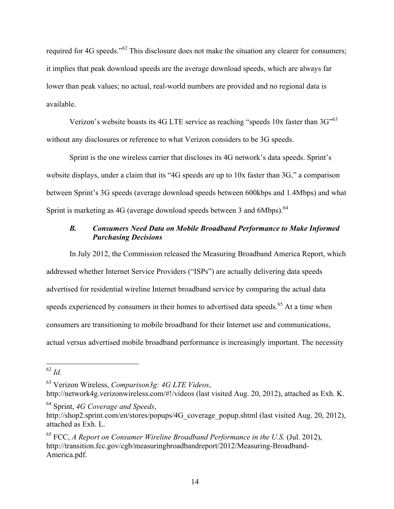required for 4G speeds."<sup>62</sup> This disclosure does not make the situation any clearer for consumers; it implies that peak download speeds are the average download speeds, which are always far lower than peak values; no actual, real-world numbers are provided and no regional data is available.

Verizon's website boasts its 4G LTE service as reaching "speeds  $10x$  faster than  $3G<sup>63</sup>$ without any disclosures or reference to what Verizon considers to be 3G speeds.

Sprint is the one wireless carrier that discloses its 4G network's data speeds. Sprint's website displays, under a claim that its "4G speeds are up to 10x faster than 3G," a comparison between Sprint's 3G speeds (average download speeds between 600kbps and 1.4Mbps) and what Sprint is marketing as 4G (average download speeds between 3 and 6Mbps).<sup>64</sup>

# *B. Consumers Need Data on Mobile Broadband Performance to Make Informed Purchasing Decisions*

In July 2012, the Commission released the Measuring Broadband America Report, which addressed whether Internet Service Providers ("ISPs") are actually delivering data speeds advertised for residential wireline Internet broadband service by comparing the actual data speeds experienced by consumers in their homes to advertised data speeds.<sup>65</sup> At a time when consumers are transitioning to mobile broadband for their Internet use and communications, actual versus advertised mobile broadband performance is increasingly important. The necessity

 <sup>62</sup> *Id.*

<sup>63</sup> Verizon Wireless, *Comparison3g: 4G LTE Videos*,

http://network4g.verizonwireless.com/#!/videos (last visited Aug. 20, 2012), attached as Exh. K.

<sup>64</sup> Sprint, *4G Coverage and Speeds*,

http://shop2.sprint.com/en/stores/popups/4G\_coverage\_popup.shtml (last visited Aug. 20, 2012), attached as Exh. L.

<sup>65</sup> FCC, *A Report on Consumer Wireline Broadband Performance in the U.S.* (Jul. 2012), http://transition.fcc.gov/cgb/measuringbroadbandreport/2012/Measuring-Broadband-America.pdf.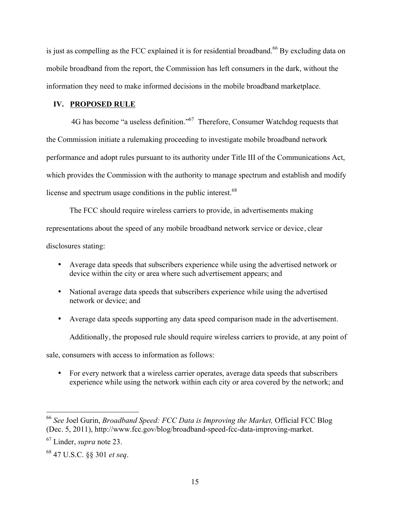is just as compelling as the FCC explained it is for residential broadband.<sup>66</sup> By excluding data on mobile broadband from the report, the Commission has left consumers in the dark, without the information they need to make informed decisions in the mobile broadband marketplace.

#### **IV. PROPOSED RULE**

4G has become "a useless definition."<sup>67</sup> Therefore, Consumer Watchdog requests that the Commission initiate a rulemaking proceeding to investigate mobile broadband network performance and adopt rules pursuant to its authority under Title III of the Communications Act, which provides the Commission with the authority to manage spectrum and establish and modify license and spectrum usage conditions in the public interest.<sup>68</sup>

The FCC should require wireless carriers to provide, in advertisements making representations about the speed of any mobile broadband network service or device, clear disclosures stating:

- Average data speeds that subscribers experience while using the advertised network or device within the city or area where such advertisement appears; and
- National average data speeds that subscribers experience while using the advertised network or device; and
- Average data speeds supporting any data speed comparison made in the advertisement. Additionally, the proposed rule should require wireless carriers to provide, at any point of

sale, consumers with access to information as follows:

• For every network that a wireless carrier operates, average data speeds that subscribers experience while using the network within each city or area covered by the network; and

 <sup>66</sup> *See* Joel Gurin, *Broadband Speed: FCC Data is Improving the Market,* Official FCC Blog (Dec. 5, 2011), http://www.fcc.gov/blog/broadband-speed-fcc-data-improving-market.

<sup>67</sup> Linder, *supra* note 23.

<sup>68</sup> 47 U.S.C. §§ 301 *et seq*.